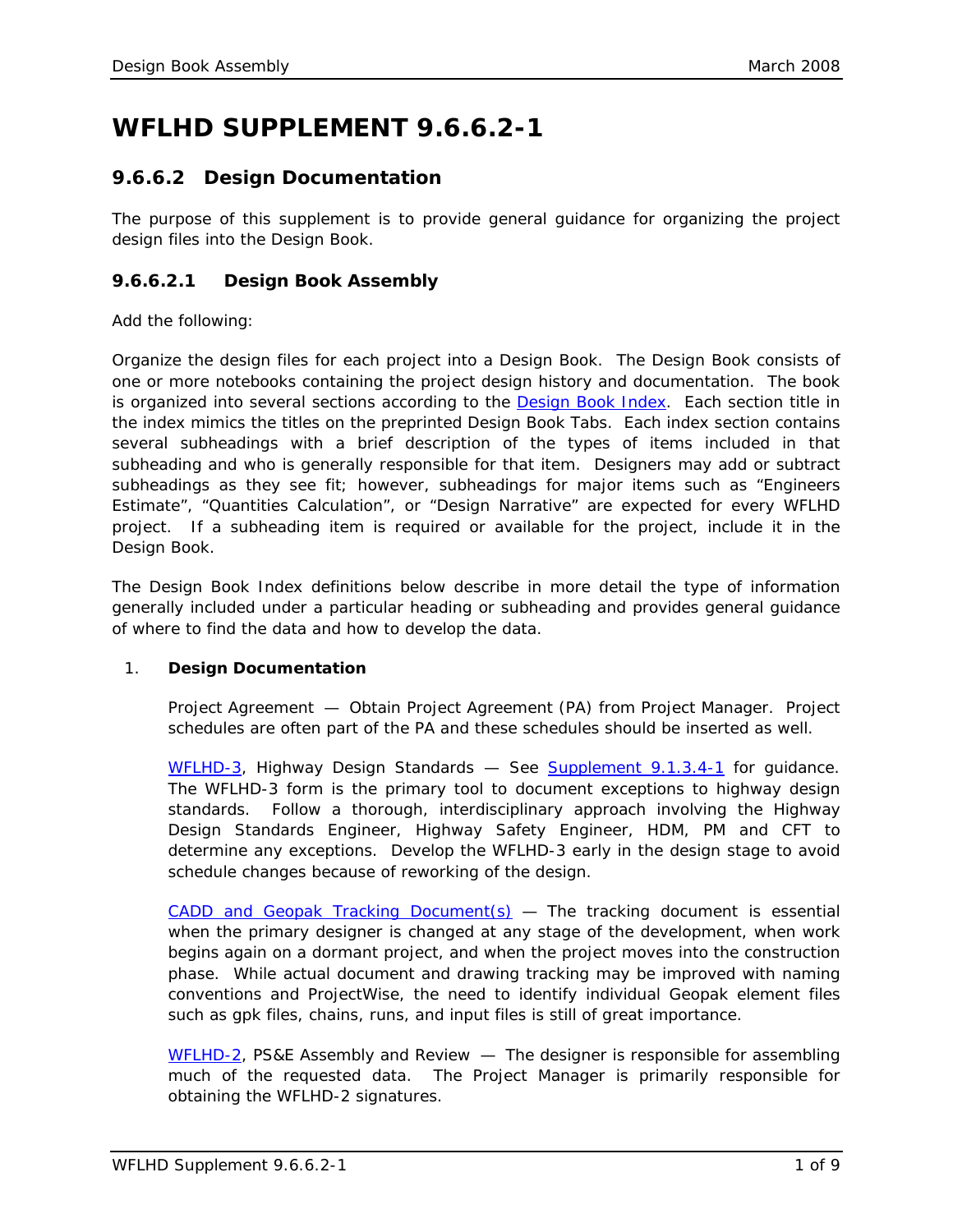# **WFLHD SUPPLEMENT 9.6.6.2-1**

# **9.6.6.2 Design Documentation**

The purpose of this supplement is to provide general guidance for organizing the project design files into the Design Book.

# **9.6.6.2.1 Design Book Assembly**

Add the following:

Organize the design files for each project into a Design Book. The Design Book consists of one or more notebooks containing the project design history and documentation. The book is organized into several sections according to the **Design Book Index**. Each section title in the index mimics the titles on the preprinted Design Book Tabs. Each index section contains several subheadings with a brief description of the types of items included in that subheading and who is generally responsible for that item. Designers may add or subtract subheadings as they see fit; however, subheadings for major items such as "Engineers Estimate", "Quantities Calculation", or "Design Narrative" are expected for every WFLHD project. If a subheading item is required or available for the project, include it in the Design Book.

The Design Book Index definitions below describe in more detail the type of information generally included under a particular heading or subheading and provides general guidance of where to find the data and how to develop the data.

# 1. **Design Documentation**

*Project Agreement* — Obtain Project Agreement (PA) from Project Manager. Project schedules are often part of the PA and these schedules should be inserted as well.

*[WFLHD-3,](https://flh.fhwa.dot.gov/resources/design/forms/wfl/WFLHD-3.docx) Highway Design Standards* — See [Supplement 9.1.3.4-1](https://flh.fhwa.dot.gov/resources/design/pddm/wfl/ch09/9.1.3.4-1.pdf) for guidance. The WFLHD-3 form is the primary tool to document exceptions to highway design standards. Follow a thorough, interdisciplinary approach involving the Highway Design Standards Engineer, Highway Safety Engineer, HDM, PM and CFT to determine any exceptions. Develop the WFLHD-3 early in the design stage to avoid schedule changes because of reworking of the design.

*[CADD and Geopak Tracking Document\(s\)](https://flh.fhwa.dot.gov/resources/design/forms/wfl/GEOPAK-Tracking.xlsx)* — The tracking document is essential when the primary designer is changed at any stage of the development, when work begins again on a dormant project, and when the project moves into the construction phase. While actual document and drawing tracking may be improved with naming conventions and ProjectWise, the need to identify individual Geopak element files such as gpk files, chains, runs, and input files is still of great importance.

*[WFLHD-2,](https://flh.fhwa.dot.gov/resources/design/forms/wfl/WFLHD-2.docx) PS&E Assembly and Review* — The designer is responsible for assembling much of the requested data. The Project Manager is primarily responsible for obtaining the WFLHD-2 signatures.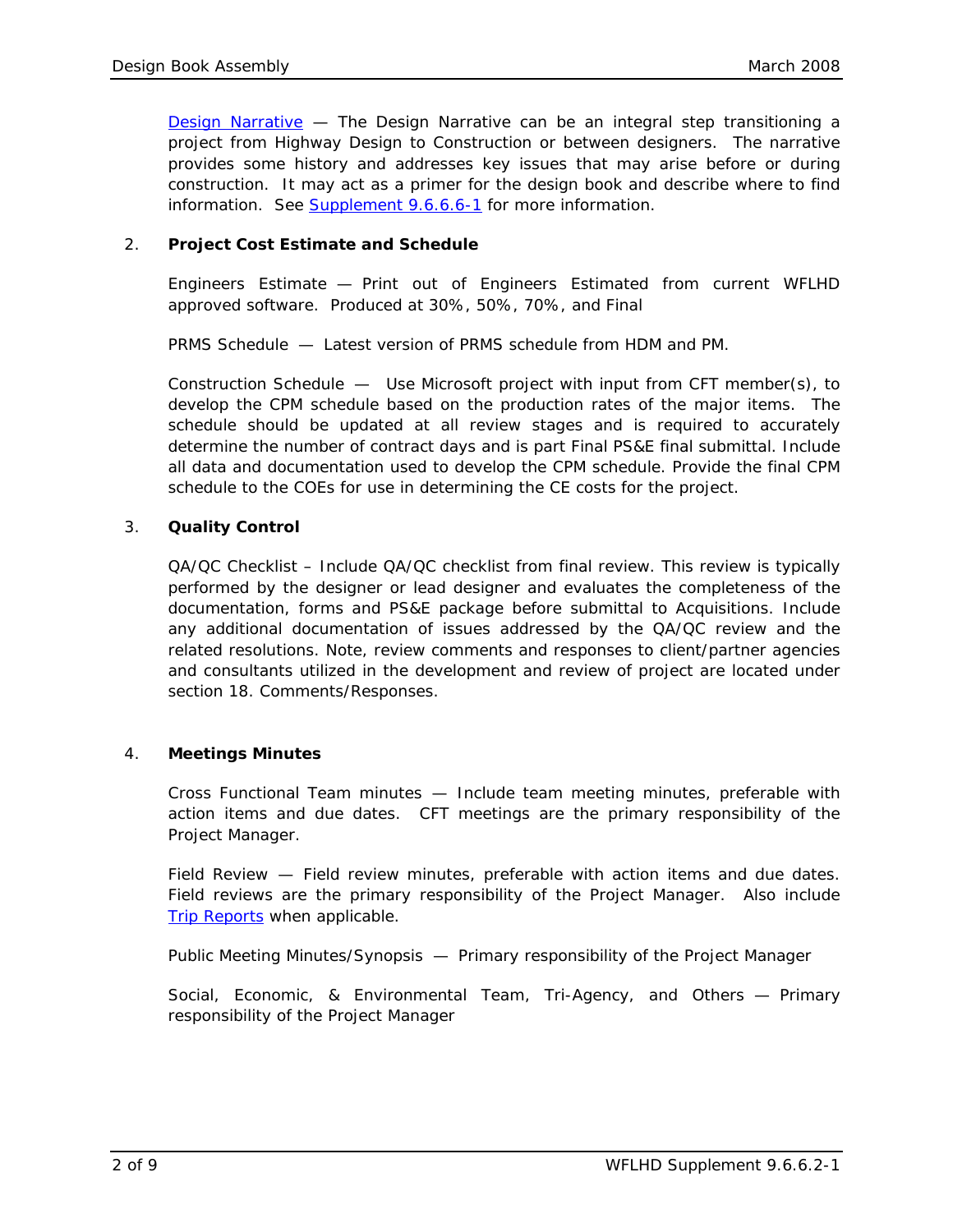*[Design Narrative](https://flh.fhwa.dot.gov/resources/design/forms/wfl/Design-Narrative.docx)* — The Design Narrative can be an integral step transitioning a project from Highway Design to Construction or between designers. The narrative provides some history and addresses key issues that may arise before or during construction. It may act as a primer for the design book and describe where to find information. See [Supplement 9.6.6.6-1](https://flh.fhwa.dot.gov/resources/design/pddm/wfl/ch09/9.6.6.6-1.pdf) for more information.

# 2. **Project Cost Estimate and Schedule**

*Engineers Estimate* — Print out of Engineers Estimated from current WFLHD approved software. Produced at 30%, 50%, 70%, and Final

*PRMS Schedule* — Latest version of PRMS schedule from HDM and PM.

*Construction Schedule* — Use Microsoft project with input from CFT member(s), to develop the CPM schedule based on the production rates of the major items. The schedule should be updated at all review stages and is required to accurately determine the number of contract days and is part Final PS&E final submittal. Include all data and documentation used to develop the CPM schedule. Provide the final CPM schedule to the COEs for use in determining the CE costs for the project.

#### 3. **Quality Control**

*QA/QC Checklist –* Include QA/QC checklist from final review. This review is typically performed by the designer or lead designer and evaluates the completeness of the documentation, forms and PS&E package before submittal to Acquisitions. Include any additional documentation of issues addressed by the QA/QC review and the related resolutions. Note, review comments and responses to client/partner agencies and consultants utilized in the development and review of project are located under section 18. Comments/Responses.

#### 4. **Meetings Minutes**

*Cross Functional Team minutes* — Include team meeting minutes, preferable with action items and due dates. CFT meetings are the primary responsibility of the Project Manager.

*Field Review* — Field review minutes, preferable with action items and due dates. Field reviews are the primary responsibility of the Project Manager. Also include Trip [Reports](https://flh.fhwa.dot.gov/resources/design/forms/wfl/Review-Notes.docx) when applicable.

*Public Meeting Minutes/Synopsis* — Primary responsibility of the Project Manager

*Social, Economic, & Environmental Team, Tri-Agency, and Others* — Primary responsibility of the Project Manager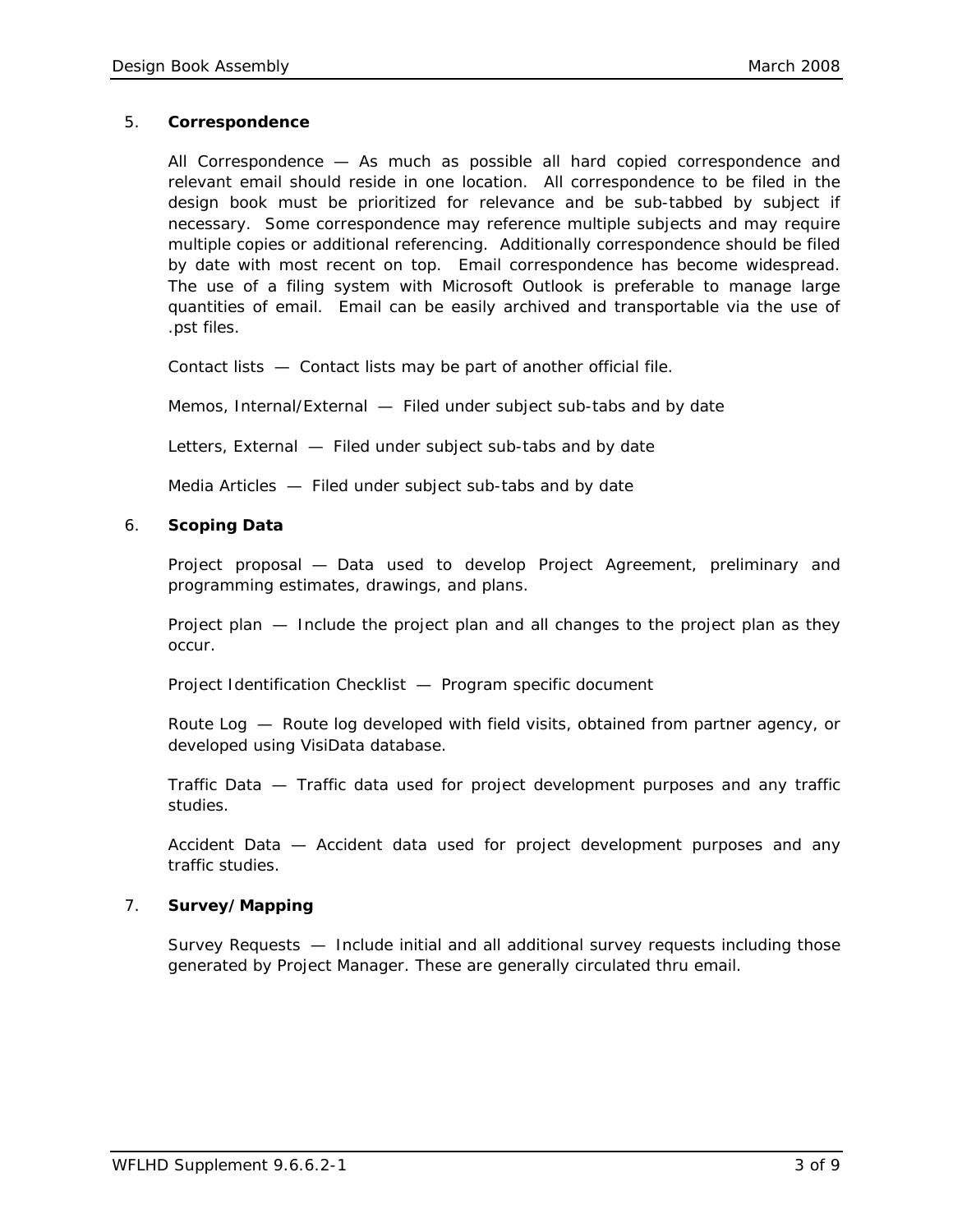#### 5. **Correspondence**

*All Correspondence* — As much as possible all hard copied correspondence and relevant email should reside in one location. All correspondence to be filed in the design book must be prioritized for relevance and be sub-tabbed by subject if necessary. Some correspondence may reference multiple subjects and may require multiple copies or additional referencing. Additionally correspondence should be filed by date with most recent on top. Email correspondence has become widespread. The use of a filing system with Microsoft Outlook is preferable to manage large quantities of email. Email can be easily archived and transportable via the use of .pst files.

*Contact lists* — Contact lists may be part of another official file.

*Memos, Internal/External* — Filed under subject sub-tabs and by date

*Letters, External* — Filed under subject sub-tabs and by date

*Media Articles* — Filed under subject sub-tabs and by date

# 6. **Scoping Data**

*Project proposal* — Data used to develop Project Agreement, preliminary and programming estimates, drawings, and plans.

*Project plan* — Include the project plan and all changes to the project plan as they occur.

*Project Identification Checklist* — Program specific document

*Route Log* — Route log developed with field visits, obtained from partner agency, or developed using VisiData database.

*Traffic Data* — Traffic data used for project development purposes and any traffic studies.

*Accident Data* — Accident data used for project development purposes and any traffic studies.

#### 7. **Survey/Mapping**

*Survey Requests* — Include initial and all additional survey requests including those generated by Project Manager. These are generally circulated thru email.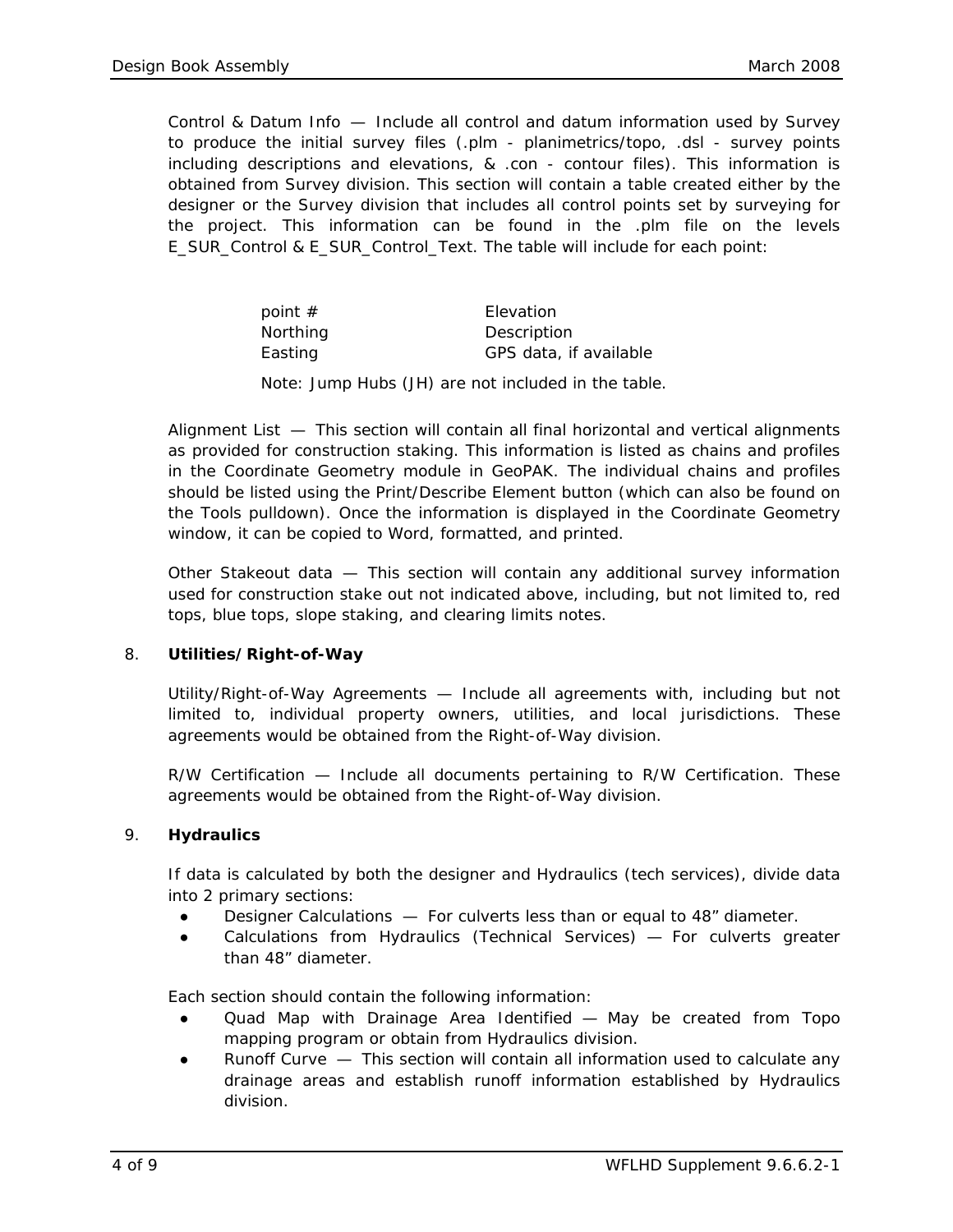*Control & Datum Info* — Include all control and datum information used by Survey to produce the initial survey files (.plm - planimetrics/topo, .dsl - survey points including descriptions and elevations, & .con - contour files). This information is obtained from Survey division. This section will contain a table created either by the designer or the Survey division that includes all control points set by surveying for the project. This information can be found in the .plm file on the levels E\_SUR\_Control & E\_SUR\_Control\_Text. The table will include for each point:

| point $#$ | Elevation              |
|-----------|------------------------|
| Northing  | Description            |
| Easting   | GPS data, if available |

Note: Jump Hubs (JH) are not included in the table.

*Alignment List* — This section will contain all final horizontal and vertical alignments as provided for construction staking. This information is listed as chains and profiles in the Coordinate Geometry module in GeoPAK. The individual chains and profiles should be listed using the Print/Describe Element button (which can also be found on the Tools pulldown). Once the information is displayed in the Coordinate Geometry window, it can be copied to Word, formatted, and printed.

*Other Stakeout data* — This section will contain any additional survey information used for construction stake out not indicated above, including, but not limited to, red tops, blue tops, slope staking, and clearing limits notes.

#### 8. **Utilities/Right-of-Way**

*Utility/Right-of-Way Agreements* — Include all agreements with, including but not limited to, individual property owners, utilities, and local jurisdictions. These agreements would be obtained from the Right-of-Way division.

*R/W Certification* — Include all documents pertaining to R/W Certification. These agreements would be obtained from the Right-of-Way division.

#### 9. **Hydraulics**

If data is calculated by both the designer and Hydraulics (tech services), divide data into 2 primary sections:

- *Designer Calculations* For culverts less than or equal to 48" diameter.
- *Calculations from Hydraulics (Technical Services)* For culverts greater than 48" diameter.

Each section should contain the following information:

- *Quad Map with Drainage Area Identified* May be created from Topo mapping program or obtain from Hydraulics division.
- *Runoff Curve* This section will contain all information used to calculate any drainage areas and establish runoff information established by Hydraulics division.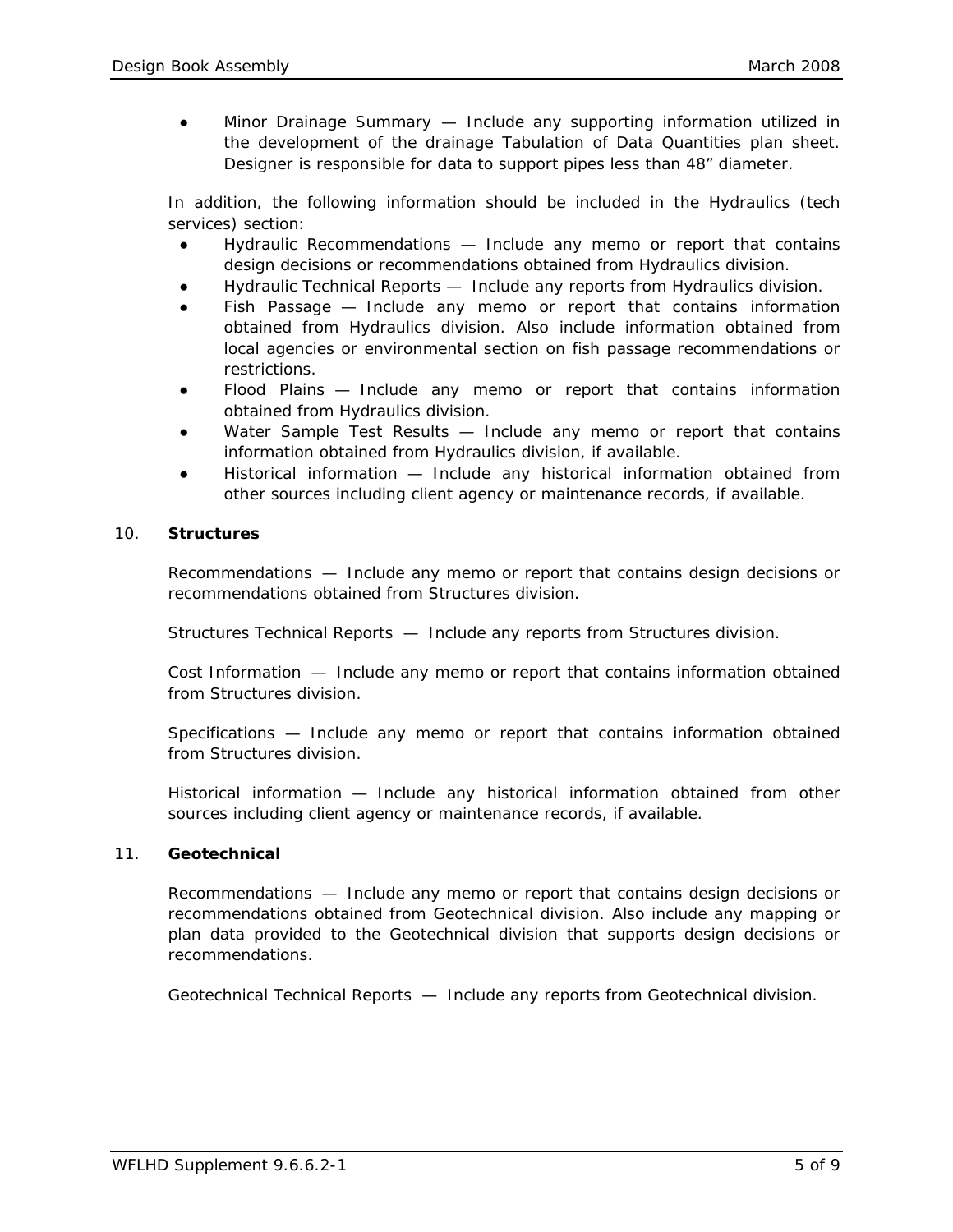● *Minor Drainage Summary* — Include any supporting information utilized in the development of the drainage Tabulation of Data Quantities plan sheet. Designer is responsible for data to support pipes less than 48" diameter.

In addition, the following information should be included in the Hydraulics (tech services) section:

- *Hydraulic Recommendations* Include any memo or report that contains design decisions or recommendations obtained from Hydraulics division.
- *Hydraulic Technical Reports*  Include any reports from Hydraulics division.
- *Fish Passage* Include any memo or report that contains information obtained from Hydraulics division. Also include information obtained from local agencies or environmental section on fish passage recommendations or restrictions.
- *Flood Plains* Include any memo or report that contains information obtained from Hydraulics division.
- Water Sample Test Results Include any memo or report that contains information obtained from Hydraulics division, if available.
- *Historical information* Include any historical information obtained from other sources including client agency or maintenance records, if available.

#### 10. **Structures**

*Recommendations* — Include any memo or report that contains design decisions or recommendations obtained from Structures division.

*Structures Technical Reports* — Include any reports from Structures division.

*Cost Information* — Include any memo or report that contains information obtained from Structures division.

*Specifications* — Include any memo or report that contains information obtained from Structures division.

*Historical information* — Include any historical information obtained from other sources including client agency or maintenance records, if available.

#### 11. **Geotechnical**

*Recommendations* — Include any memo or report that contains design decisions or recommendations obtained from Geotechnical division. Also include any mapping or plan data provided to the Geotechnical division that supports design decisions or recommendations.

*Geotechnical Technical Reports* — Include any reports from Geotechnical division.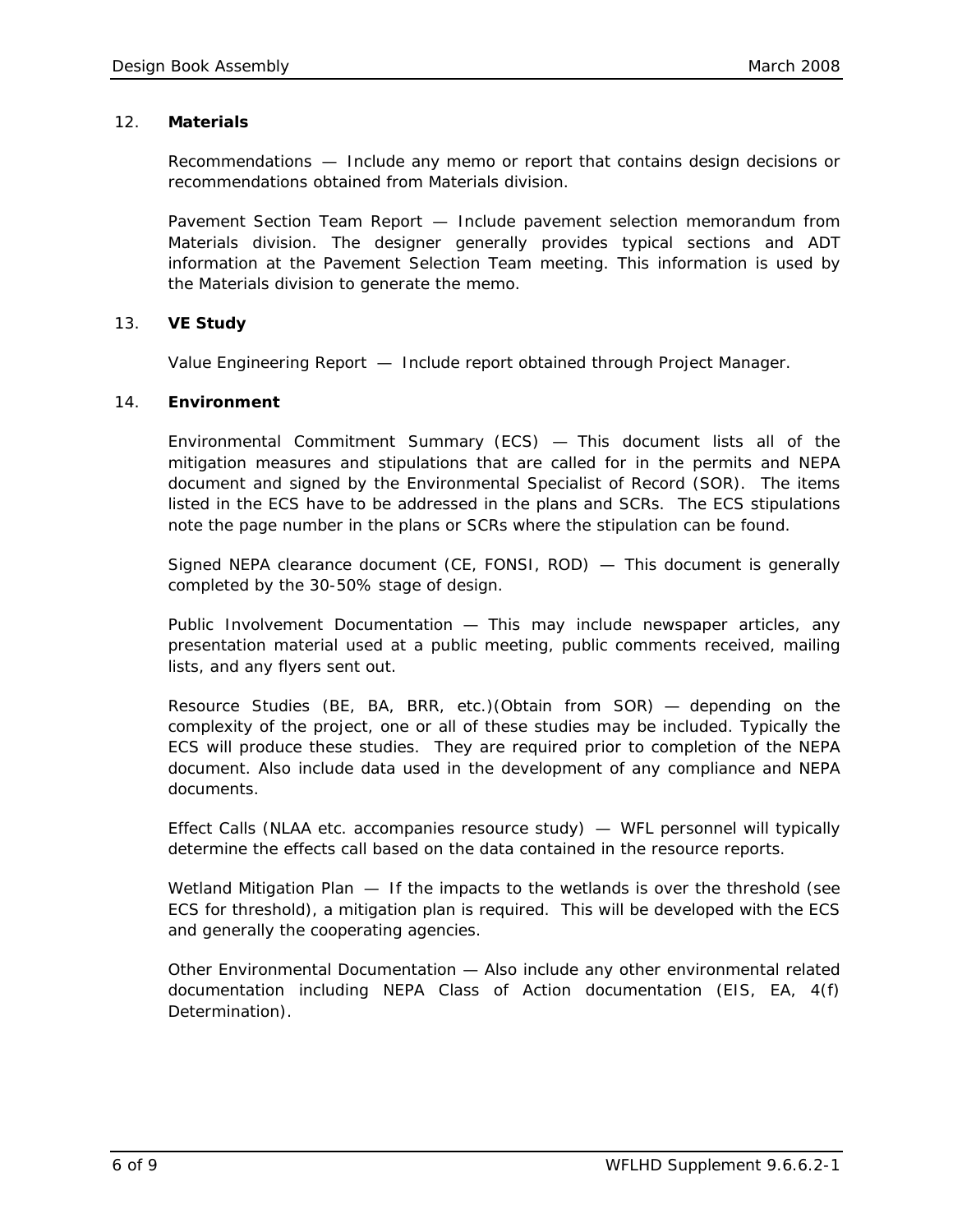#### 12. **Materials**

*Recommendations* — Include any memo or report that contains design decisions or recommendations obtained from Materials division.

*Pavement Section Team Report* — Include pavement selection memorandum from Materials division. The designer generally provides typical sections and ADT information at the Pavement Selection Team meeting. This information is used by the Materials division to generate the memo.

# 13. **VE Study**

*Value Engineering Report* — Include report obtained through Project Manager.

# 14. **Environment**

*Environmental Commitment Summary (ECS)* — This document lists all of the mitigation measures and stipulations that are called for in the permits and NEPA document and signed by the Environmental Specialist of Record (SOR). The items listed in the ECS have to be addressed in the plans and SCRs. The ECS stipulations note the page number in the plans or SCRs where the stipulation can be found.

*Signed NEPA clearance document (CE, FONSI, ROD)* — This document is generally completed by the 30-50% stage of design.

*Public Involvement Documentation* — This may include newspaper articles, any presentation material used at a public meeting, public comments received, mailing lists, and any flyers sent out.

*Resource Studies (BE, BA, BRR, etc.)(Obtain from SOR)* — depending on the complexity of the project, one or all of these studies may be included. Typically the ECS will produce these studies. They are required prior to completion of the NEPA document. Also include data used in the development of any compliance and NEPA documents.

*Effect Calls (NLAA etc. accompanies resource study)* — WFL personnel will typically determine the effects call based on the data contained in the resource reports.

*Wetland Mitigation Plan* — If the impacts to the wetlands is over the threshold (see ECS for threshold), a mitigation plan is required. This will be developed with the ECS and generally the cooperating agencies.

*Other Environmental Documentation* — Also include any other environmental related documentation including NEPA Class of Action documentation (EIS, EA, 4(f) Determination).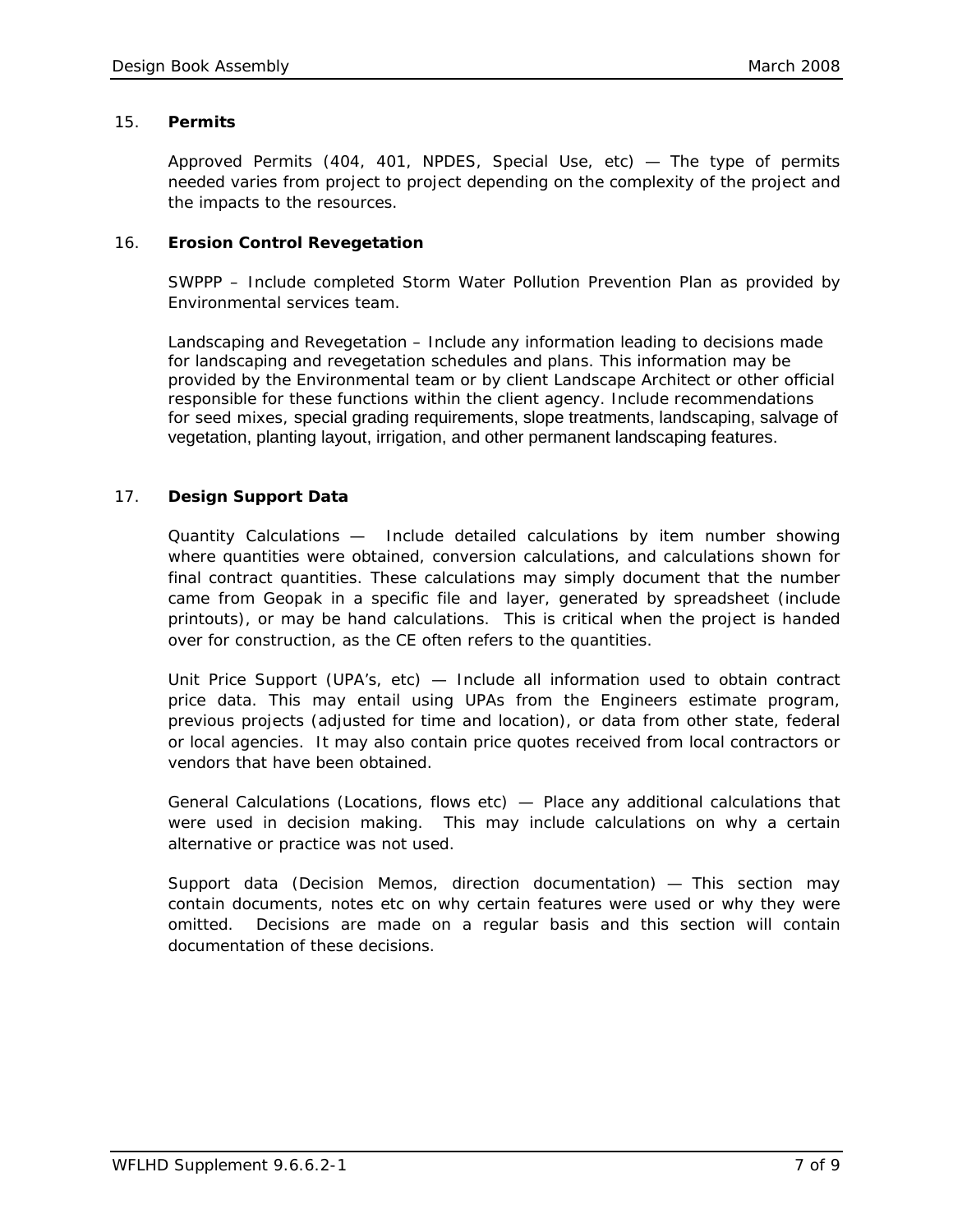#### 15. **Permits**

*Approved Permits (404, 401, NPDES, Special Use, etc)* — The type of permits needed varies from project to project depending on the complexity of the project and the impacts to the resources.

# 16. **Erosion Control Revegetation**

*SWPPP* – Include completed Storm Water Pollution Prevention Plan as provided by Environmental services team.

*Landscaping and Revegetation* – Include any information leading to decisions made for landscaping and revegetation schedules and plans. This information may be provided by the Environmental team or by client Landscape Architect or other official responsible for these functions within the client agency. Include recommendations for seed mixes, special grading requirements, slope treatments, landscaping, salvage of vegetation, planting layout, irrigation, and other permanent landscaping features.

# 17. **Design Support Data**

*Quantity Calculations* — Include detailed calculations by item number showing where quantities were obtained, conversion calculations, and calculations shown for final contract quantities. These calculations may simply document that the number came from Geopak in a specific file and layer, generated by spreadsheet (include printouts), or may be hand calculations. This is critical when the project is handed over for construction, as the CE often refers to the quantities.

*Unit Price Support (UPA's, etc)* — Include all information used to obtain contract price data. This may entail using UPAs from the Engineers estimate program, previous projects (adjusted for time and location), or data from other state, federal or local agencies. It may also contain price quotes received from local contractors or vendors that have been obtained.

*General Calculations (Locations, flows etc)* — Place any additional calculations that were used in decision making. This may include calculations on why a certain alternative or practice was not used.

*Support data (Decision Memos, direction documentation)* — This section may contain documents, notes etc on why certain features were used or why they were omitted. Decisions are made on a regular basis and this section will contain documentation of these decisions.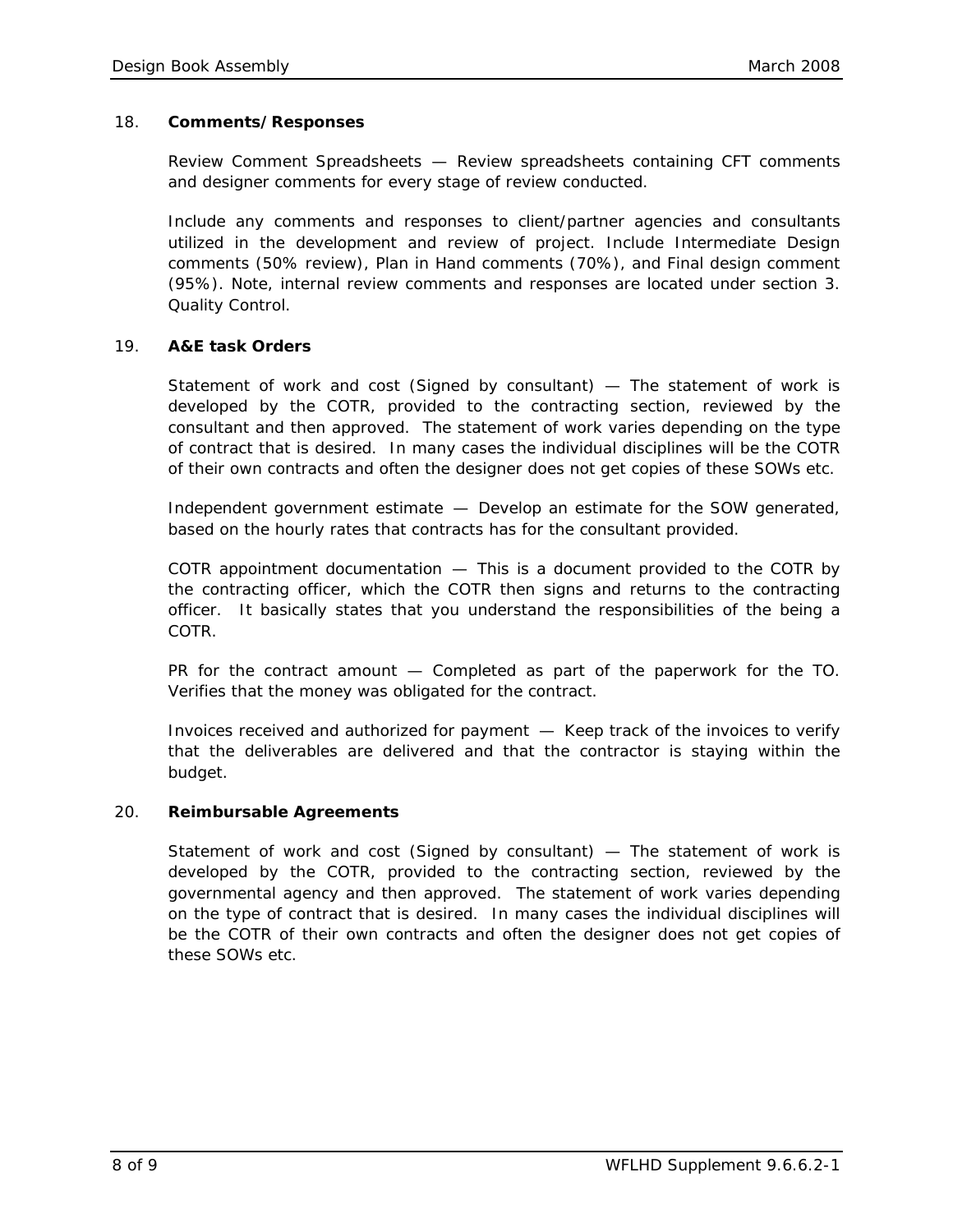#### 18. **Comments/Responses**

*Review Comment Spreadsheets* — Review spreadsheets containing CFT comments and designer comments for every stage of review conducted.

Include any comments and responses to client/partner agencies and consultants utilized in the development and review of project. Include Intermediate Design comments (50% review), Plan in Hand comments (70%), and Final design comment (95%). Note, internal review comments and responses are located under section 3. Quality Control.

# 19. **A&E task Orders**

*Statement of work and cost (Signed by consultant)* — The statement of work is developed by the COTR, provided to the contracting section, reviewed by the consultant and then approved. The statement of work varies depending on the type of contract that is desired. In many cases the individual disciplines will be the COTR of their own contracts and often the designer does not get copies of these SOWs etc.

*Independent government estimate* — Develop an estimate for the SOW generated, based on the hourly rates that contracts has for the consultant provided.

*COTR appointment documentation* — This is a document provided to the COTR by the contracting officer, which the COTR then signs and returns to the contracting officer. It basically states that you understand the responsibilities of the being a COTR.

*PR for the contract amount* — Completed as part of the paperwork for the TO. Verifies that the money was obligated for the contract.

*Invoices received and authorized for payment* — Keep track of the invoices to verify that the deliverables are delivered and that the contractor is staying within the budget.

#### 20. **Reimbursable Agreements**

*Statement of work and cost (Signed by consultant)* — The statement of work is developed by the COTR, provided to the contracting section, reviewed by the governmental agency and then approved. The statement of work varies depending on the type of contract that is desired. In many cases the individual disciplines will be the COTR of their own contracts and often the designer does not get copies of these SOWs etc.